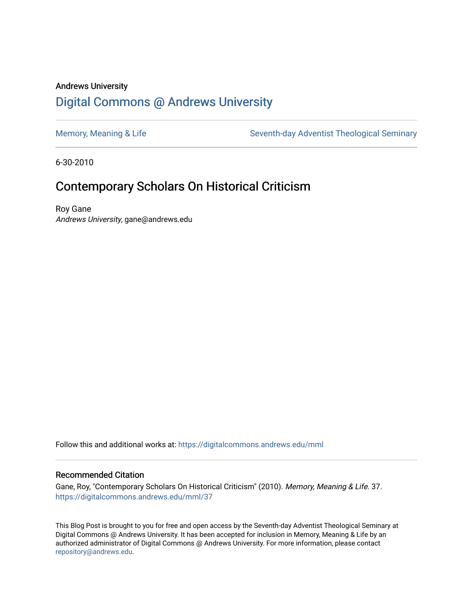## Andrews University [Digital Commons @ Andrews University](https://digitalcommons.andrews.edu/)

[Memory, Meaning & Life](https://digitalcommons.andrews.edu/mml) Seventh-day Adventist Theological Seminary

6-30-2010

## Contemporary Scholars On Historical Criticism

Roy Gane Andrews University, gane@andrews.edu

Follow this and additional works at: [https://digitalcommons.andrews.edu/mml](https://digitalcommons.andrews.edu/mml?utm_source=digitalcommons.andrews.edu%2Fmml%2F37&utm_medium=PDF&utm_campaign=PDFCoverPages) 

#### Recommended Citation

Gane, Roy, "Contemporary Scholars On Historical Criticism" (2010). Memory, Meaning & Life. 37. [https://digitalcommons.andrews.edu/mml/37](https://digitalcommons.andrews.edu/mml/37?utm_source=digitalcommons.andrews.edu%2Fmml%2F37&utm_medium=PDF&utm_campaign=PDFCoverPages)

This Blog Post is brought to you for free and open access by the Seventh-day Adventist Theological Seminary at Digital Commons @ Andrews University. It has been accepted for inclusion in Memory, Meaning & Life by an authorized administrator of Digital Commons @ Andrews University. For more information, please contact [repository@andrews.edu](mailto:repository@andrews.edu).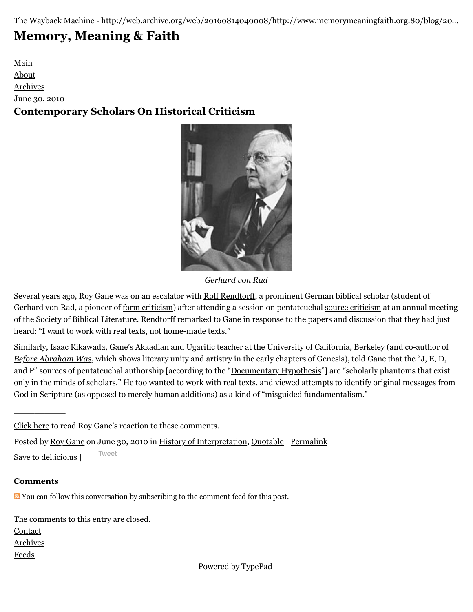The Wayback Machine - http://web.archive.org/web/20160814040008/http://www.memorymeaningfaith.org:80/blog/20…

# **[Memory, Meaning & Faith](http://web.archive.org/web/20160814040008/http://www.memorymeaningfaith.org/blog/)**

[Main](http://web.archive.org/web/20160814040008/http://www.memorymeaningfaith.org/blog) [About](http://web.archive.org/web/20160814040008/http://www.memorymeaningfaith.org/blog/about.html) [Archives](http://web.archive.org/web/20160814040008/http://www.memorymeaningfaith.org/blog/archives.html) June 30, 2010 **Contemporary Scholars On Historical Criticism**



*Gerhard von Rad*

Several years ago, Roy Gane was on an escalator with [Rolf Rendtorff](http://web.archive.org/web/20160814040008/http://en.wikipedia.org/wiki/Rolf_Rendtorff), a prominent German biblical scholar (student of Gerhard von Rad, a pioneer of [form criticism\)](http://web.archive.org/web/20160814040008/http://en.wikipedia.org/wiki/Form_criticism) after attending a session on pentateuchal [source criticism](http://web.archive.org/web/20160814040008/http://en.wikipedia.org/wiki/Source_criticism_%28Biblical_studies%29) at an annual meeting of the Society of Biblical Literature. Rendtorff remarked to Gane in response to the papers and discussion that they had just heard: "I want to work with real texts, not home-made texts."

Similarly, Isaac Kikawada, Gane's Akkadian and Ugaritic teacher at the University of California, Berkeley (and co-author of *[Before Abraham Was](http://web.archive.org/web/20160814040008/http://en.wikipedia.org/wiki/Before_Abraham_Was)*, which shows literary unity and artistry in the early chapters of Genesis), told Gane that the "J, E, D, and P" sources of pentateuchal authorship [according to the "[Documentary Hypothesis"](http://web.archive.org/web/20160814040008/http://www.memorymeaningfaith.org/http://en.wikipedia.org/wiki/Documentary_hypothesis/)] are "scholarly phantoms that exist only in the minds of scholars." He too wanted to work with real texts, and viewed attempts to identify original messages from God in Scripture (as opposed to merely human additions) as a kind of "misguided fundamentalism."

[Click here](http://web.archive.org/web/20160814040008/http://www.memorymeaningfaith.org/blog/2010/07/highercritical-thinking-part-ii.html) to read Roy Gane's reaction to these comments.

Posted by [Roy Gane](http://web.archive.org/web/20160814040008/http://profile.typepad.com/rgane) on June 30, 2010 in [History of Interpretation](http://web.archive.org/web/20160814040008/http://www.memorymeaningfaith.org/blog/history-of-interpretation/), [Quotable](http://web.archive.org/web/20160814040008/http://www.memorymeaningfaith.org/blog/sources/) | [Permalink](http://web.archive.org/web/20160814040008/http://www.memorymeaningfaith.org/blog/2010/06/contemporary-scholars-on-historical-criticism.html)

[Save to del.icio.us](http://web.archive.org/web/20160814040008/http://del.icio.us/post) | [Tweet](http://web.archive.org/web/20190401222919/https://twitter.com/intent/tweet?original_referer=http%3A%2F%2Fwww.memorymeaningfaith.org%2Fblog%2F2010%2F06%2Fcontemporary-scholars-on-historical-criticism.html&ref_src=twsrc%5Etfw&text=Contemporary%20Scholars%20On%20Historical%20Criticism&tw_p=tweetbutton&url=http%3A%2F%2Fbit.ly%2F9likHs)

### **Comments**

 $\mathcal{L}=\mathcal{L}$ 

You can follow this conversation by subscribing to the [comment feed](http://web.archive.org/web/20160814040008/http://www.memorymeaningfaith.org/blog/2010/06/contemporary-scholars-on-historical-criticism/comments/atom.xml) for this post.

The comments to this entry are closed. **[Contact](http://web.archive.org/web/20160814040008/mailto:memorymeaningfaith@gmail.com)** 

**[Archives](http://web.archive.org/web/20160814040008/http://memorymeaningfaith.typepad.com/blog/archives.html)** 

[Feeds](http://web.archive.org/web/20160814040008/http://memorymeaningfaith.typepad.com/blog/feeds.html)

[Powered by TypePad](http://web.archive.org/web/20160814040008/http://www.typepad.com/)